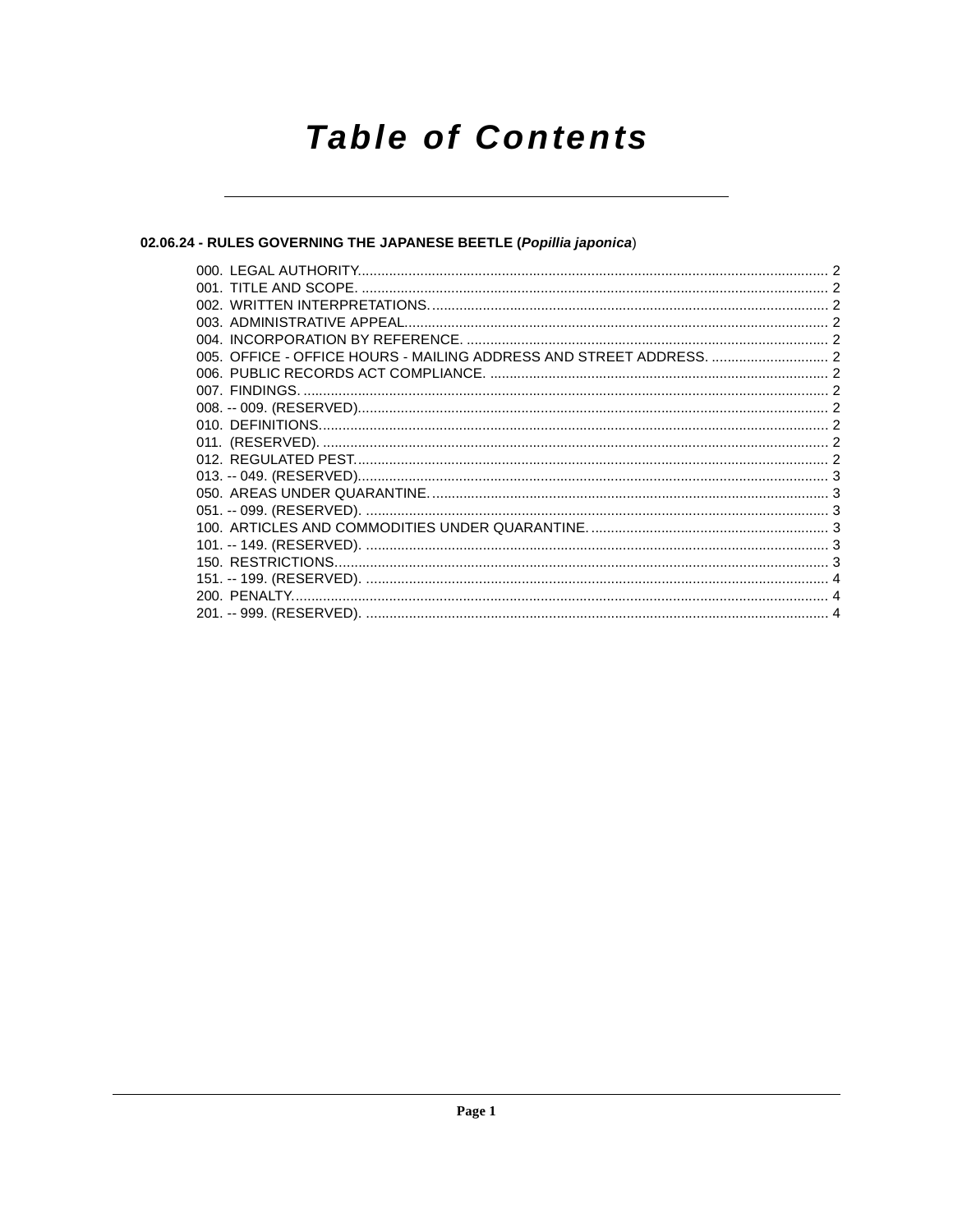# **Table of Contents**

# 02.06.24 - RULES GOVERNING THE JAPANESE BEETLE (Popillia japonica)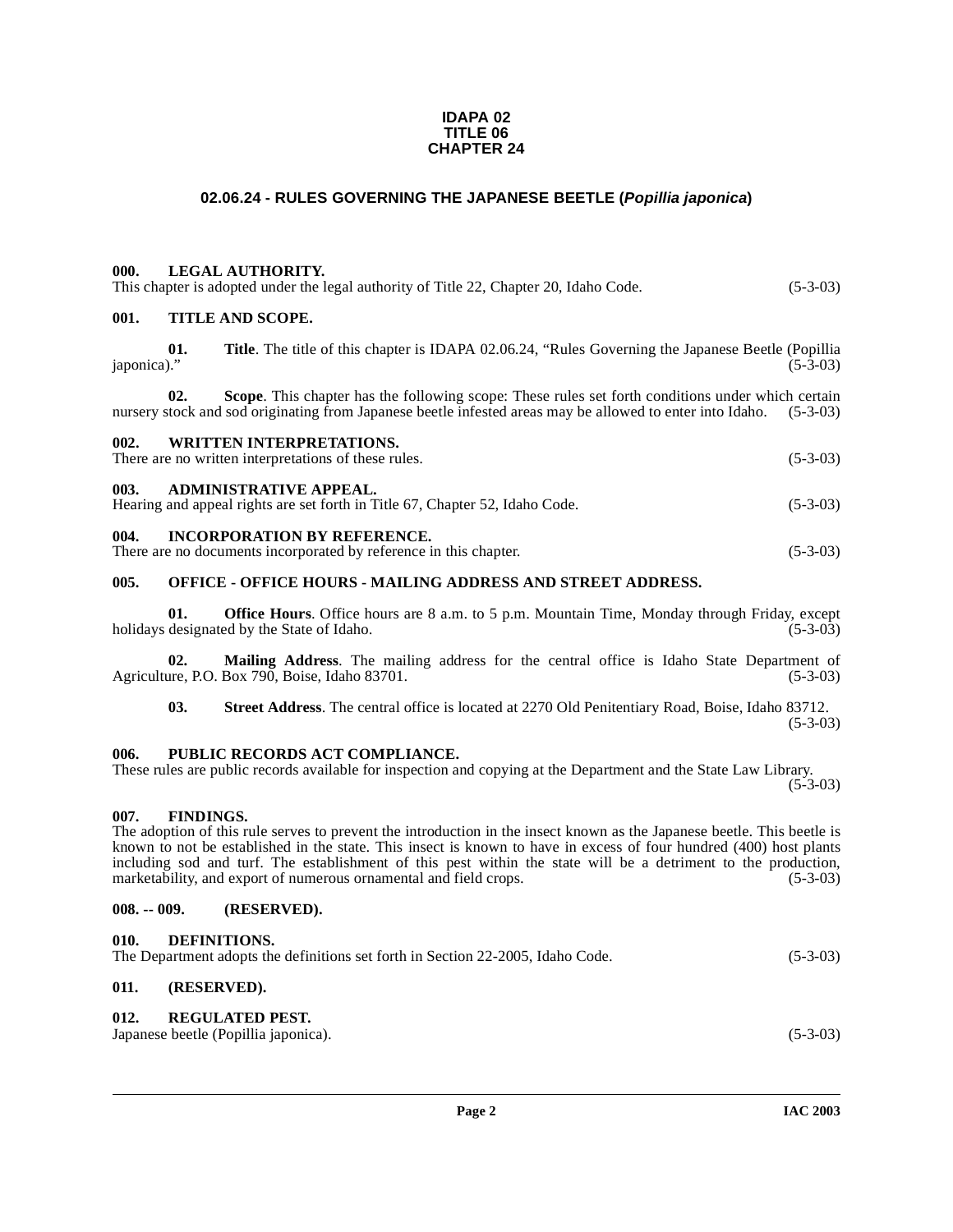#### **IDAPA 02 TITLE 06 CHAPTER 24**

## **02.06.24 - RULES GOVERNING THE JAPANESE BEETLE (Popillia japonica)**

#### <span id="page-1-1"></span><span id="page-1-0"></span>**000. LEGAL AUTHORITY.**

<span id="page-1-2"></span>

|      |                  | This chapter is adopted under the legal authority of Title 22, Chapter 20, Idaho Code.                    | $(5-3-03)$ |
|------|------------------|-----------------------------------------------------------------------------------------------------------|------------|
| 001. | TITLE AND SCOPE. |                                                                                                           |            |
|      | 01.              | <b>Title.</b> The title of this chapter is IDAPA 02.06.24, "Rules Governing the Japanese Beetle (Popillia |            |

 $japonica$ )." (5-3-03)

**02.** Scope. This chapter has the following scope: These rules set forth conditions under which certain stock and sod originating from Japanese beetle infested areas may be allowed to enter into Idaho. (5-3-03) nursery stock and sod originating from Japanese beetle infested areas may be allowed to enter into Idaho.

# <span id="page-1-3"></span>**002. WRITTEN INTERPRETATIONS.**

There are no written interpretations of these rules. (5-3-03)

#### <span id="page-1-4"></span>**003. ADMINISTRATIVE APPEAL.**

Hearing and appeal rights are set forth in Title 67, Chapter 52, Idaho Code. (5-3-03)

#### <span id="page-1-5"></span>**004. INCORPORATION BY REFERENCE.**

There are no documents incorporated by reference in this chapter. (5-3-03)

#### <span id="page-1-6"></span>**005. OFFICE - OFFICE HOURS - MAILING ADDRESS AND STREET ADDRESS.**

**01. Office Hours**. Office hours are 8 a.m. to 5 p.m. Mountain Time, Monday through Friday, except designated by the State of Idaho. (5-3-03) holidays designated by the State of Idaho.

**02. Mailing Address**. The mailing address for the central office is Idaho State Department of Agriculture, P.O. Box 790, Boise, Idaho 83701. (5-3-03)

**03. Street Address**. The central office is located at 2270 Old Penitentiary Road, Boise, Idaho 83712.

 $(5-3-03)$ 

#### <span id="page-1-7"></span>**006. PUBLIC RECORDS ACT COMPLIANCE.**

#### These rules are public records available for inspection and copying at the Department and the State Law Library.  $(5-3-03)$

#### <span id="page-1-8"></span>**007. FINDINGS.**

The adoption of this rule serves to prevent the introduction in the insect known as the Japanese beetle. This beetle is known to not be established in the state. This insect is known to have in excess of four hundred (400) host plants including sod and turf. The establishment of this pest within the state will be a detriment to the production, marketability, and export of numerous ornamental and field crops. (5-3-03)

#### <span id="page-1-9"></span>**008. -- 009. (RESERVED).**

#### <span id="page-1-10"></span>**010. DEFINITIONS.**

| The Department adopts the definitions set forth in Section 22-2005, Idaho Code. | $(5-3-03)$ |
|---------------------------------------------------------------------------------|------------|
|---------------------------------------------------------------------------------|------------|

## <span id="page-1-11"></span>**011. (RESERVED).**

#### <span id="page-1-13"></span><span id="page-1-12"></span>**012. REGULATED PEST.**

Japanese beetle (Popillia japonica). (5-3-03)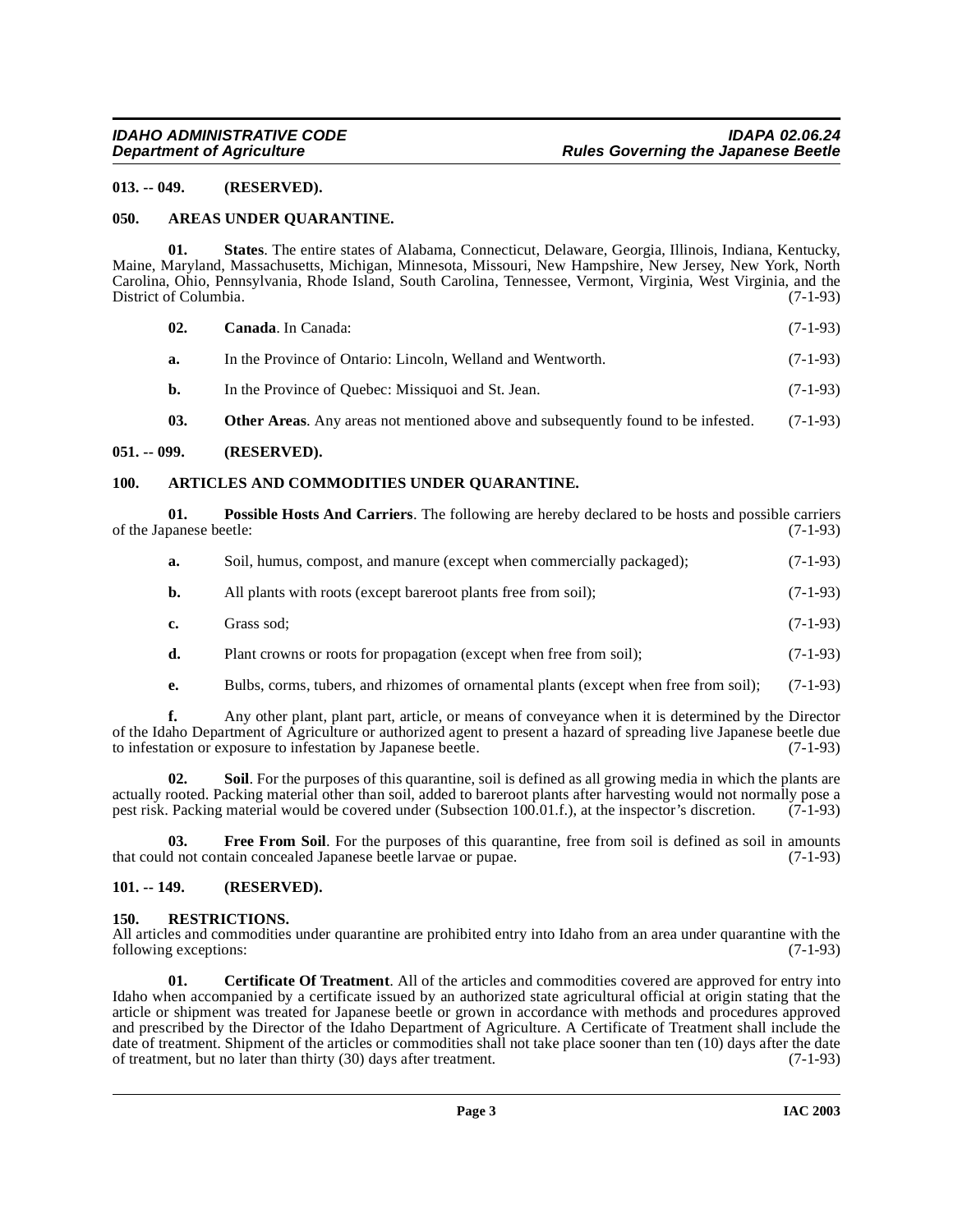#### <span id="page-2-0"></span>**013. -- 049. (RESERVED).**

#### <span id="page-2-6"></span><span id="page-2-1"></span>**050. AREAS UNDER QUARANTINE.**

**01. States**. The entire states of Alabama, Connecticut, Delaware, Georgia, Illinois, Indiana, Kentucky, Maine, Maryland, Massachusetts, Michigan, Minnesota, Missouri, New Hampshire, New Jersey, New York, North Carolina, Ohio, Pennsylvania, Rhode Island, South Carolina, Tennessee, Vermont, Virginia, West Virginia, and the District of Columbia.

<span id="page-2-14"></span><span id="page-2-8"></span>

| 02. | <b>Canada.</b> In Canada:                                                                | $(7-1-93)$ |
|-----|------------------------------------------------------------------------------------------|------------|
| а.  | In the Province of Ontario: Lincoln, Welland and Wentworth.                              | $(7-1-93)$ |
| b.  | In the Province of Quebec: Missiquoi and St. Jean.                                       | $(7-1-93)$ |
| 03. | <b>Other Areas.</b> Any areas not mentioned above and subsequently found to be infested. | $(7-1-93)$ |

#### <span id="page-2-2"></span>**051. -- 099. (RESERVED).**

#### <span id="page-2-7"></span><span id="page-2-3"></span>**100. ARTICLES AND COMMODITIES UNDER QUARANTINE.**

**01. Possible Hosts And Carriers**. The following are hereby declared to be hosts and possible carriers panese beetle: (7-1-93) of the Japanese beetle:

<span id="page-2-11"></span>

| а.            | Soil, humus, compost, and manure (except when commercially packaged); | $(7-1-93)$ |
|---------------|-----------------------------------------------------------------------|------------|
| b.            | All plants with roots (except bareroot plants free from soil);        | $(7-1-93)$ |
| $c_{\bullet}$ | Grass sod:                                                            | $(7-1-93)$ |
| d.            | Plant crowns or roots for propagation (except when free from soil);   | $(7-1-93)$ |

<span id="page-2-13"></span>**e.** Bulbs, corms, tubers, and rhizomes of ornamental plants (except when free from soil); (7-1-93)

**f.** Any other plant, plant part, article, or means of conveyance when it is determined by the Director of the Idaho Department of Agriculture or authorized agent to present a hazard of spreading live Japanese beetle due to infestation or exposure to infestation by Japanese beetle. (7-1-93)

**Soil**. For the purposes of this quarantine, soil is defined as all growing media in which the plants are actually rooted. Packing material other than soil, added to bare root plants after harvesting would not normally pose a<br>pest risk. Packing material would be covered under (Subsection 100.01.f.), at the inspector's discreti pest risk. Packing material would be covered under (Subsection 100.01.f.), at the inspector's discretion.

<span id="page-2-10"></span>**03. Free From Soil**. For the purposes of this quarantine, free from soil is defined as soil in amounts that could not contain concealed Japanese beetle larvae or pupae. (7-1-93)

#### <span id="page-2-4"></span>**101. -- 149. (RESERVED).**

#### <span id="page-2-12"></span><span id="page-2-5"></span>**150. RESTRICTIONS.**

All articles and commodities under quarantine are prohibited entry into Idaho from an area under quarantine with the following exceptions: (7-1-93) following exceptions:

<span id="page-2-9"></span>**01. Certificate Of Treatment**. All of the articles and commodities covered are approved for entry into Idaho when accompanied by a certificate issued by an authorized state agricultural official at origin stating that the article or shipment was treated for Japanese beetle or grown in accordance with methods and procedures approved and prescribed by the Director of the Idaho Department of Agriculture. A Certificate of Treatment shall include the date of treatment. Shipment of the articles or commodities shall not take place sooner than ten (10) days after the date of treatment, but no later than thirty (30) days after treatment. (7-1-93)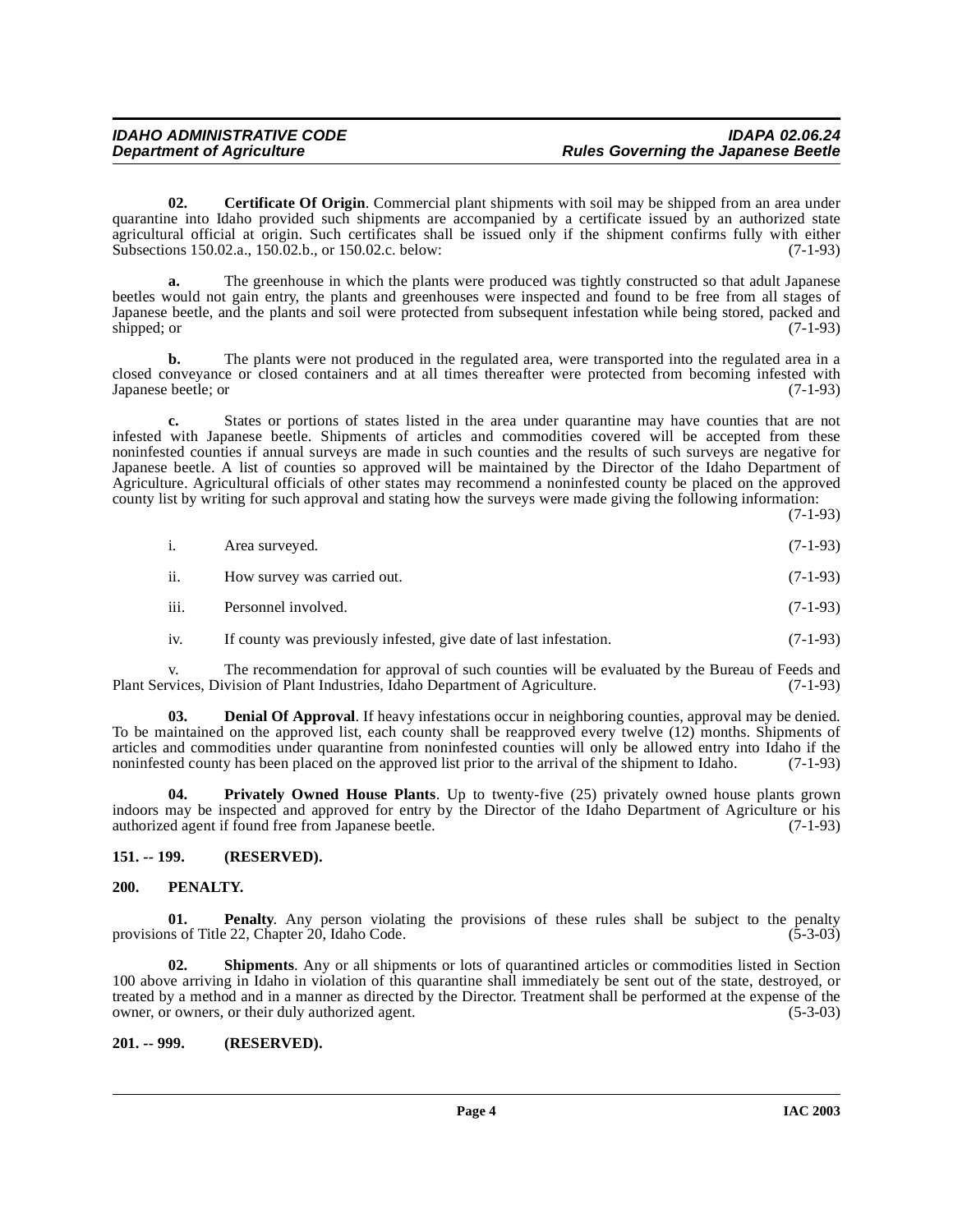<span id="page-3-3"></span>**02. Certificate Of Origin**. Commercial plant shipments with soil may be shipped from an area under quarantine into Idaho provided such shipments are accompanied by a certificate issued by an authorized state agricultural official at origin. Such certificates shall be issued only if the shipment confirms fully with either Subsections 150.02.a., 150.02.b., or 150.02.c. below: (7-1-93)

**a.** The greenhouse in which the plants were produced was tightly constructed so that adult Japanese beetles would not gain entry, the plants and greenhouses were inspected and found to be free from all stages of Japanese beetle, and the plants and soil were protected from subsequent infestation while being stored, packed and shipped; or  $(7-1-93)$ 

**b.** The plants were not produced in the regulated area, were transported into the regulated area in a closed conveyance or closed containers and at all times thereafter were protected from becoming infested with Japanese beetle; or (7-1-93)

**c.** States or portions of states listed in the area under quarantine may have counties that are not infested with Japanese beetle. Shipments of articles and commodities covered will be accepted from these noninfested counties if annual surveys are made in such counties and the results of such surveys are negative for Japanese beetle. A list of counties so approved will be maintained by the Director of the Idaho Department of Agriculture. Agricultural officials of other states may recommend a noninfested county be placed on the approved county list by writing for such approval and stating how the surveys were made giving the following information:

(7-1-93)

| $(7-1-93)$<br>i.<br>Area surveyed. |  |
|------------------------------------|--|
|------------------------------------|--|

ii. How survey was carried out. (7-1-93)

- iii. Personnel involved. (7-1-93)
- iv. If county was previously infested, give date of last infestation. (7-1-93)

v. The recommendation for approval of such counties will be evaluated by the Bureau of Feeds and vices, Division of Plant Industries, Idaho Department of Agriculture. (7-1-93) Plant Services, Division of Plant Industries, Idaho Department of Agriculture.

**03. Denial Of Approval**. If heavy infestations occur in neighboring counties, approval may be denied. To be maintained on the approved list, each county shall be reapproved every twelve (12) months. Shipments of articles and commodities under quarantine from noninfested counties will only be allowed entry into Idaho if the noninfested county has been placed on the approved list prior to the arrival of the shipment to Idaho. (7-1-93)

<span id="page-3-5"></span>**04. Privately Owned House Plants**. Up to twenty-five (25) privately owned house plants grown indoors may be inspected and approved for entry by the Director of the Idaho Department of Agriculture or his authorized agent if found free from Japanese beetle. (7-1-93)

#### <span id="page-3-0"></span>**151. -- 199. (RESERVED).**

#### <span id="page-3-4"></span><span id="page-3-1"></span>**200. PENALTY.**

**01. Penalty**. Any person violating the provisions of these rules shall be subject to the penalty provisions of Title 22, Chapter 20, Idaho Code.  $(5-3-03)$ 

**02. Shipments**. Any or all shipments or lots of quarantined articles or commodities listed in Section 100 above arriving in Idaho in violation of this quarantine shall immediately be sent out of the state, destroyed, or treated by a method and in a manner as directed by the Director. Treatment shall be performed at the expense of the owner, or owners, or their duly authorized agent. (5-3-03)

#### <span id="page-3-2"></span>**201. -- 999. (RESERVED).**